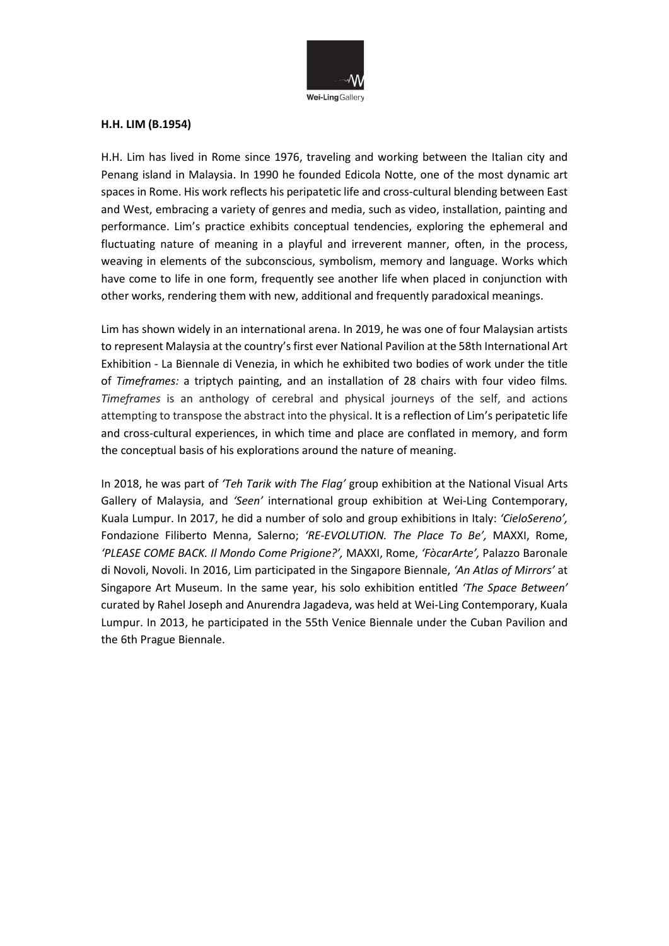

## **H.H. LIM (B.1954)**

H.H. Lim has lived in Rome since 1976, traveling and working between the Italian city and Penang island in Malaysia. In 1990 he founded Edicola Notte, one of the most dynamic art spaces in Rome. His work reflects his peripatetic life and cross-cultural blending between East and West, embracing a variety of genres and media, such as video, installation, painting and performance. Lim's practice exhibits conceptual tendencies, exploring the ephemeral and fluctuating nature of meaning in a playful and irreverent manner, often, in the process, weaving in elements of the subconscious, symbolism, memory and language. Works which have come to life in one form, frequently see another life when placed in conjunction with other works, rendering them with new, additional and frequently paradoxical meanings.

Lim has shown widely in an international arena. In 2019, he was one of four Malaysian artists to represent Malaysia at the country's first ever National Pavilion at the 58th International Art Exhibition - La Biennale di Venezia, in which he exhibited two bodies of work under the title of *Timeframes:* a triptych painting, and an installation of 28 chairs with four video films*. Timeframes* is an anthology of cerebral and physical journeys of the self, and actions attempting to transpose the abstract into the physical. It is a reflection of Lim's peripatetic life and cross-cultural experiences, in which time and place are conflated in memory, and form the conceptual basis of his explorations around the nature of meaning.

In 2018, he was part of *'Teh Tarik with The Flag'* group exhibition at the National Visual Arts Gallery of Malaysia, and *'Seen'* international group exhibition at Wei-Ling Contemporary, Kuala Lumpur. In 2017, he did a number of solo and group exhibitions in Italy: *'CieloSereno',*  Fondazione Filiberto Menna, Salerno; *'RE-EVOLUTION. The Place To Be',* MAXXI, Rome, *'PLEASE COME BACK. Il Mondo Come Prigione?',* MAXXI, Rome, *'FòcarArte',* Palazzo Baronale di Novoli, Novoli. In 2016, Lim participated in the Singapore Biennale, *'An Atlas of Mirrors'* at Singapore Art Museum. In the same year, his solo exhibition entitled *'The Space Between'* curated by Rahel Joseph and Anurendra Jagadeva, was held at Wei-Ling Contemporary, Kuala Lumpur. In 2013, he participated in the 55th Venice Biennale under the Cuban Pavilion and the 6th Prague Biennale.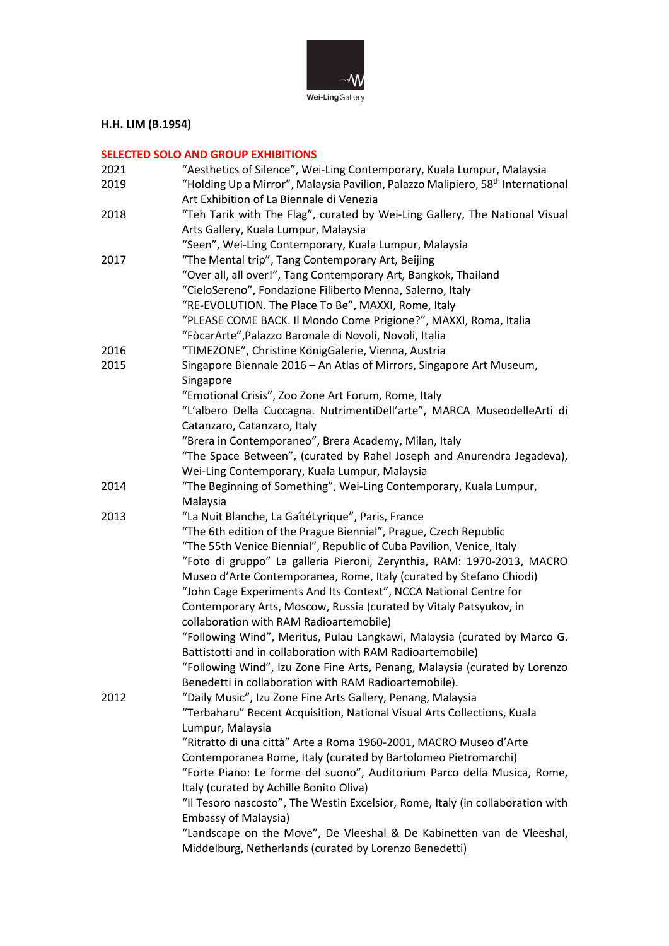

## **H.H. LIM (B.1954)**

## **SELECTED SOLO AND GROUP EXHIBITIONS**

| 2021 | "Aesthetics of Silence", Wei-Ling Contemporary, Kuala Lumpur, Malaysia                      |
|------|---------------------------------------------------------------------------------------------|
| 2019 | "Holding Up a Mirror", Malaysia Pavilion, Palazzo Malipiero, 58 <sup>th</sup> International |
|      | Art Exhibition of La Biennale di Venezia                                                    |
| 2018 | "Teh Tarik with The Flag", curated by Wei-Ling Gallery, The National Visual                 |
|      | Arts Gallery, Kuala Lumpur, Malaysia                                                        |
|      | "Seen", Wei-Ling Contemporary, Kuala Lumpur, Malaysia                                       |
| 2017 | "The Mental trip", Tang Contemporary Art, Beijing                                           |
|      |                                                                                             |
|      | "Over all, all over!", Tang Contemporary Art, Bangkok, Thailand                             |
|      | "CieloSereno", Fondazione Filiberto Menna, Salerno, Italy                                   |
|      | "RE-EVOLUTION. The Place To Be", MAXXI, Rome, Italy                                         |
|      | "PLEASE COME BACK. Il Mondo Come Prigione?", MAXXI, Roma, Italia                            |
|      | "FòcarArte", Palazzo Baronale di Novoli, Novoli, Italia                                     |
| 2016 | "TIMEZONE", Christine KönigGalerie, Vienna, Austria                                         |
| 2015 | Singapore Biennale 2016 - An Atlas of Mirrors, Singapore Art Museum,                        |
|      | Singapore                                                                                   |
|      | "Emotional Crisis", Zoo Zone Art Forum, Rome, Italy                                         |
|      | "L'albero Della Cuccagna. NutrimentiDell'arte", MARCA MuseodelleArti di                     |
|      | Catanzaro, Catanzaro, Italy                                                                 |
|      | "Brera in Contemporaneo", Brera Academy, Milan, Italy                                       |
|      | "The Space Between", (curated by Rahel Joseph and Anurendra Jegadeva),                      |
|      | Wei-Ling Contemporary, Kuala Lumpur, Malaysia                                               |
| 2014 | "The Beginning of Something", Wei-Ling Contemporary, Kuala Lumpur,                          |
|      | Malaysia                                                                                    |
| 2013 | "La Nuit Blanche, La GaîtéLyrique", Paris, France                                           |
|      | "The 6th edition of the Prague Biennial", Prague, Czech Republic                            |
|      | "The 55th Venice Biennial", Republic of Cuba Pavilion, Venice, Italy                        |
|      | "Foto di gruppo" La galleria Pieroni, Zerynthia, RAM: 1970-2013, MACRO                      |
|      | Museo d'Arte Contemporanea, Rome, Italy (curated by Stefano Chiodi)                         |
|      | "John Cage Experiments And Its Context", NCCA National Centre for                           |
|      | Contemporary Arts, Moscow, Russia (curated by Vitaly Patsyukov, in                          |
|      | collaboration with RAM Radioartemobile)                                                     |
|      | "Following Wind", Meritus, Pulau Langkawi, Malaysia (curated by Marco G.                    |
|      | Battistotti and in collaboration with RAM Radioartemobile)                                  |
|      | "Following Wind", Izu Zone Fine Arts, Penang, Malaysia (curated by Lorenzo                  |
|      | Benedetti in collaboration with RAM Radioartemobile).                                       |
| 2012 | "Daily Music", Izu Zone Fine Arts Gallery, Penang, Malaysia                                 |
|      | "Terbaharu" Recent Acquisition, National Visual Arts Collections, Kuala                     |
|      | Lumpur, Malaysia                                                                            |
|      | "Ritratto di una città" Arte a Roma 1960-2001, MACRO Museo d'Arte                           |
|      | Contemporanea Rome, Italy (curated by Bartolomeo Pietromarchi)                              |
|      |                                                                                             |
|      | "Forte Piano: Le forme del suono", Auditorium Parco della Musica, Rome,                     |
|      | Italy (curated by Achille Bonito Oliva)                                                     |
|      | "Il Tesoro nascosto", The Westin Excelsior, Rome, Italy (in collaboration with              |
|      | <b>Embassy of Malaysia)</b>                                                                 |
|      | "Landscape on the Move", De Vleeshal & De Kabinetten van de Vleeshal,                       |
|      | Middelburg, Netherlands (curated by Lorenzo Benedetti)                                      |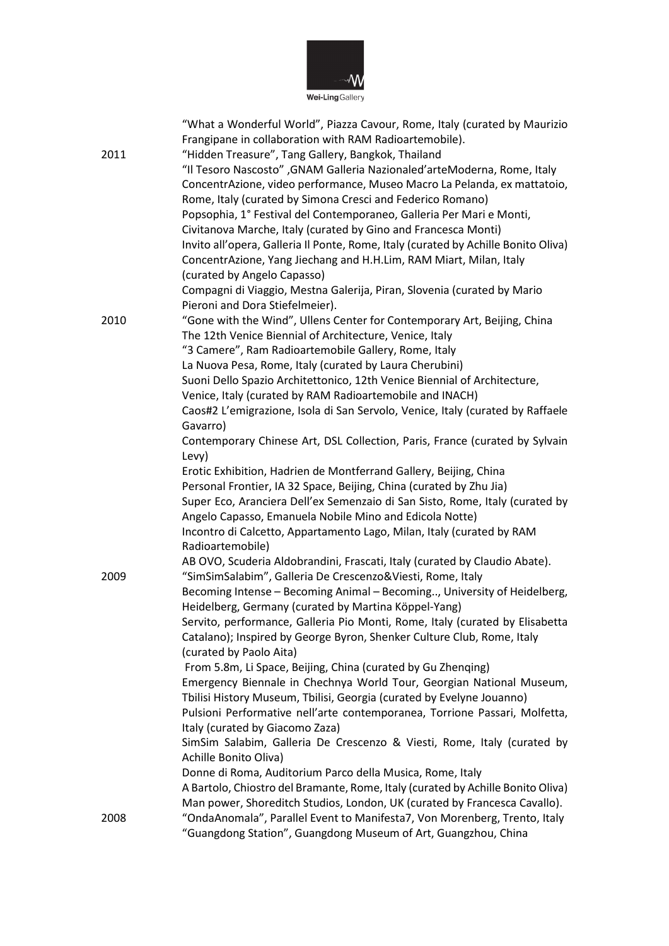

|      | "What a Wonderful World", Piazza Cavour, Rome, Italy (curated by Maurizio          |
|------|------------------------------------------------------------------------------------|
|      | Frangipane in collaboration with RAM Radioartemobile).                             |
| 2011 | "Hidden Treasure", Tang Gallery, Bangkok, Thailand                                 |
|      | "Il Tesoro Nascosto" , GNAM Galleria Nazionaled'arteModerna, Rome, Italy           |
|      | ConcentrAzione, video performance, Museo Macro La Pelanda, ex mattatoio,           |
|      | Rome, Italy (curated by Simona Cresci and Federico Romano)                         |
|      | Popsophia, 1° Festival del Contemporaneo, Galleria Per Mari e Monti,               |
|      | Civitanova Marche, Italy (curated by Gino and Francesca Monti)                     |
|      | Invito all'opera, Galleria Il Ponte, Rome, Italy (curated by Achille Bonito Oliva) |
|      |                                                                                    |
|      | ConcentrAzione, Yang Jiechang and H.H.Lim, RAM Miart, Milan, Italy                 |
|      | (curated by Angelo Capasso)                                                        |
|      | Compagni di Viaggio, Mestna Galerija, Piran, Slovenia (curated by Mario            |
|      | Pieroni and Dora Stiefelmeier).                                                    |
| 2010 | "Gone with the Wind", Ullens Center for Contemporary Art, Beijing, China           |
|      | The 12th Venice Biennial of Architecture, Venice, Italy                            |
|      | "3 Camere", Ram Radioartemobile Gallery, Rome, Italy                               |
|      | La Nuova Pesa, Rome, Italy (curated by Laura Cherubini)                            |
|      | Suoni Dello Spazio Architettonico, 12th Venice Biennial of Architecture,           |
|      | Venice, Italy (curated by RAM Radioartemobile and INACH)                           |
|      | Caos#2 L'emigrazione, Isola di San Servolo, Venice, Italy (curated by Raffaele     |
|      | Gavarro)                                                                           |
|      | Contemporary Chinese Art, DSL Collection, Paris, France (curated by Sylvain        |
|      | Levy)                                                                              |
|      | Erotic Exhibition, Hadrien de Montferrand Gallery, Beijing, China                  |
|      | Personal Frontier, IA 32 Space, Beijing, China (curated by Zhu Jia)                |
|      | Super Eco, Aranciera Dell'ex Semenzaio di San Sisto, Rome, Italy (curated by       |
|      | Angelo Capasso, Emanuela Nobile Mino and Edicola Notte)                            |
|      | Incontro di Calcetto, Appartamento Lago, Milan, Italy (curated by RAM              |
|      | Radioartemobile)                                                                   |
|      | AB OVO, Scuderia Aldobrandini, Frascati, Italy (curated by Claudio Abate).         |
| 2009 | "SimSimSalabim", Galleria De Crescenzo&Viesti, Rome, Italy                         |
|      | Becoming Intense - Becoming Animal - Becoming, University of Heidelberg,           |
|      | Heidelberg, Germany (curated by Martina Köppel-Yang)                               |
|      | Servito, performance, Galleria Pio Monti, Rome, Italy (curated by Elisabetta       |
|      | Catalano); Inspired by George Byron, Shenker Culture Club, Rome, Italy             |
|      | (curated by Paolo Aita)                                                            |
|      | From 5.8m, Li Space, Beijing, China (curated by Gu Zhenqing)                       |
|      | Emergency Biennale in Chechnya World Tour, Georgian National Museum,               |
|      | Tbilisi History Museum, Tbilisi, Georgia (curated by Evelyne Jouanno)              |
|      | Pulsioni Performative nell'arte contemporanea, Torrione Passari, Molfetta,         |
|      | Italy (curated by Giacomo Zaza)                                                    |
|      | SimSim Salabim, Galleria De Crescenzo & Viesti, Rome, Italy (curated by            |
|      | Achille Bonito Oliva)                                                              |
|      | Donne di Roma, Auditorium Parco della Musica, Rome, Italy                          |
|      | A Bartolo, Chiostro del Bramante, Rome, Italy (curated by Achille Bonito Oliva)    |
|      | Man power, Shoreditch Studios, London, UK (curated by Francesca Cavallo).          |
| 2008 | "OndaAnomala", Parallel Event to Manifesta7, Von Morenberg, Trento, Italy          |
|      | "Guangdong Station", Guangdong Museum of Art, Guangzhou, China                     |
|      |                                                                                    |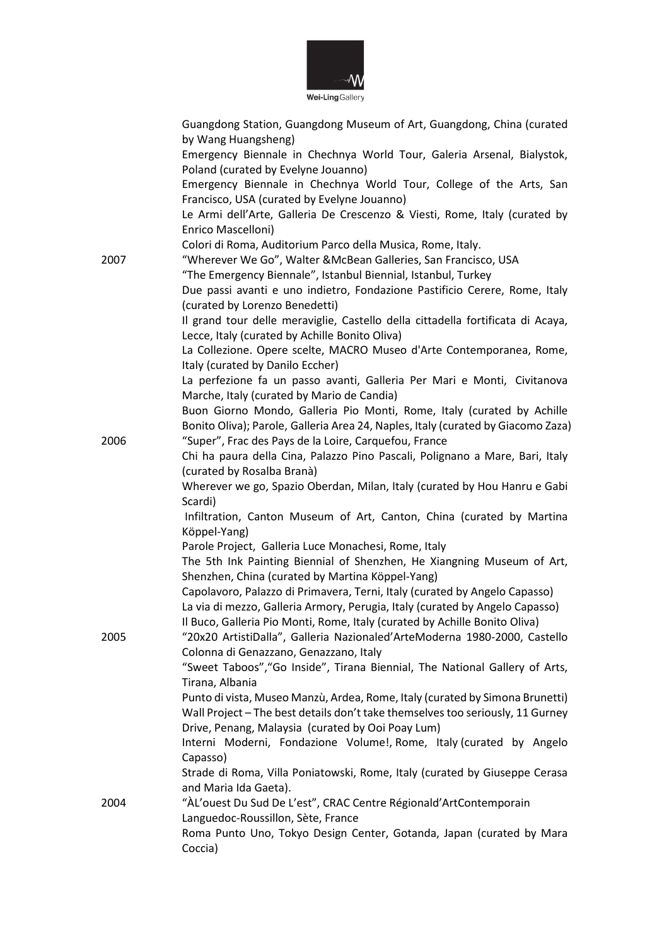

|      | Guangdong Station, Guangdong Museum of Art, Guangdong, China (curated                                                                                   |
|------|---------------------------------------------------------------------------------------------------------------------------------------------------------|
|      | by Wang Huangsheng)                                                                                                                                     |
|      | Emergency Biennale in Chechnya World Tour, Galeria Arsenal, Bialystok,                                                                                  |
|      | Poland (curated by Evelyne Jouanno)                                                                                                                     |
|      | Emergency Biennale in Chechnya World Tour, College of the Arts, San                                                                                     |
|      | Francisco, USA (curated by Evelyne Jouanno)                                                                                                             |
|      | Le Armi dell'Arte, Galleria De Crescenzo & Viesti, Rome, Italy (curated by                                                                              |
|      | Enrico Mascelloni)                                                                                                                                      |
|      | Colori di Roma, Auditorium Parco della Musica, Rome, Italy.                                                                                             |
| 2007 | "Wherever We Go", Walter &McBean Galleries, San Francisco, USA                                                                                          |
|      | "The Emergency Biennale", Istanbul Biennial, Istanbul, Turkey                                                                                           |
|      | Due passi avanti e uno indietro, Fondazione Pastificio Cerere, Rome, Italy                                                                              |
|      | (curated by Lorenzo Benedetti)                                                                                                                          |
|      | Il grand tour delle meraviglie, Castello della cittadella fortificata di Acaya,                                                                         |
|      | Lecce, Italy (curated by Achille Bonito Oliva)                                                                                                          |
|      | La Collezione. Opere scelte, MACRO Museo d'Arte Contemporanea, Rome,                                                                                    |
|      | Italy (curated by Danilo Eccher)                                                                                                                        |
|      | La perfezione fa un passo avanti, Galleria Per Mari e Monti, Civitanova                                                                                 |
|      | Marche, Italy (curated by Mario de Candia)                                                                                                              |
|      | Buon Giorno Mondo, Galleria Pio Monti, Rome, Italy (curated by Achille                                                                                  |
|      | Bonito Oliva); Parole, Galleria Area 24, Naples, Italy (curated by Giacomo Zaza)                                                                        |
| 2006 | "Super", Frac des Pays de la Loire, Carquefou, France                                                                                                   |
|      | Chi ha paura della Cina, Palazzo Pino Pascali, Polignano a Mare, Bari, Italy                                                                            |
|      | (curated by Rosalba Branà)                                                                                                                              |
|      | Wherever we go, Spazio Oberdan, Milan, Italy (curated by Hou Hanru e Gabi                                                                               |
|      | Scardi)                                                                                                                                                 |
|      | Infiltration, Canton Museum of Art, Canton, China (curated by Martina                                                                                   |
|      | Köppel-Yang)                                                                                                                                            |
|      | Parole Project, Galleria Luce Monachesi, Rome, Italy                                                                                                    |
|      | The 5th Ink Painting Biennial of Shenzhen, He Xiangning Museum of Art,                                                                                  |
|      | Shenzhen, China (curated by Martina Köppel-Yang)                                                                                                        |
|      | Capolavoro, Palazzo di Primavera, Terni, Italy (curated by Angelo Capasso)                                                                              |
|      | La via di mezzo, Galleria Armory, Perugia, Italy (curated by Angelo Capasso)                                                                            |
|      | Il Buco, Galleria Pio Monti, Rome, Italy (curated by Achille Bonito Oliva)<br>"20x20 ArtistiDalla", Galleria Nazionaled'ArteModerna 1980-2000, Castello |
| 2005 |                                                                                                                                                         |
|      | Colonna di Genazzano, Genazzano, Italy                                                                                                                  |
|      | "Sweet Taboos", "Go Inside", Tirana Biennial, The National Gallery of Arts,<br>Tirana, Albania                                                          |
|      | Punto di vista, Museo Manzù, Ardea, Rome, Italy (curated by Simona Brunetti)                                                                            |
|      | Wall Project - The best details don't take themselves too seriously, 11 Gurney                                                                          |
|      | Drive, Penang, Malaysia (curated by Ooi Poay Lum)                                                                                                       |
|      | Interni Moderni, Fondazione Volume!, Rome, Italy (curated by Angelo                                                                                     |
|      | Capasso)                                                                                                                                                |
|      | Strade di Roma, Villa Poniatowski, Rome, Italy (curated by Giuseppe Cerasa                                                                              |
|      | and Maria Ida Gaeta).                                                                                                                                   |
| 2004 | "ÀL'ouest Du Sud De L'est", CRAC Centre Régionald'ArtContemporain                                                                                       |
|      | Languedoc-Roussillon, Sète, France                                                                                                                      |
|      | Roma Punto Uno, Tokyo Design Center, Gotanda, Japan (curated by Mara                                                                                    |
|      | Coccia)                                                                                                                                                 |
|      |                                                                                                                                                         |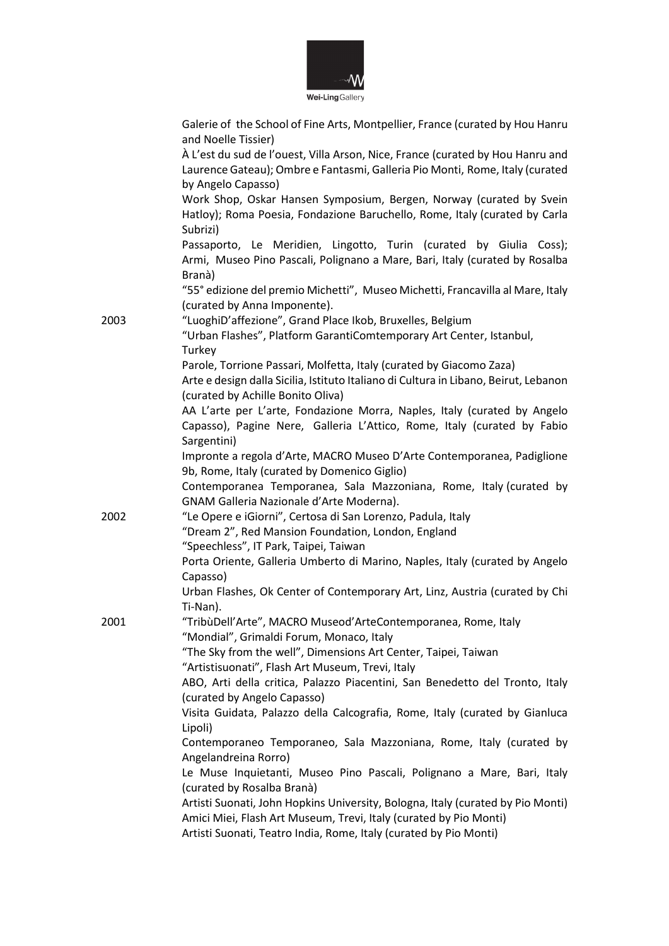

Galerie of the School of Fine Arts, Montpellier, France (curated by Hou Hanru

|      | and Noelle Tissier)                                                                  |
|------|--------------------------------------------------------------------------------------|
|      | À L'est du sud de l'ouest, Villa Arson, Nice, France (curated by Hou Hanru and       |
|      | Laurence Gateau); Ombre e Fantasmi, Galleria Pio Monti, Rome, Italy (curated         |
|      | by Angelo Capasso)                                                                   |
|      | Work Shop, Oskar Hansen Symposium, Bergen, Norway (curated by Svein                  |
|      | Hatloy); Roma Poesia, Fondazione Baruchello, Rome, Italy (curated by Carla           |
|      | Subrizi)                                                                             |
|      | Passaporto, Le Meridien, Lingotto, Turin (curated by Giulia Coss);                   |
|      | Armi, Museo Pino Pascali, Polignano a Mare, Bari, Italy (curated by Rosalba          |
|      | Branà)                                                                               |
|      | "55° edizione del premio Michetti", Museo Michetti, Francavilla al Mare, Italy       |
|      |                                                                                      |
|      | (curated by Anna Imponente).                                                         |
| 2003 | "LuoghiD'affezione", Grand Place Ikob, Bruxelles, Belgium                            |
|      | "Urban Flashes", Platform GarantiComtemporary Art Center, Istanbul,                  |
|      | Turkey                                                                               |
|      | Parole, Torrione Passari, Molfetta, Italy (curated by Giacomo Zaza)                  |
|      | Arte e design dalla Sicilia, Istituto Italiano di Cultura in Libano, Beirut, Lebanon |
|      | (curated by Achille Bonito Oliva)                                                    |
|      | AA L'arte per L'arte, Fondazione Morra, Naples, Italy (curated by Angelo             |
|      | Capasso), Pagine Nere, Galleria L'Attico, Rome, Italy (curated by Fabio              |
|      | Sargentini)                                                                          |
|      | Impronte a regola d'Arte, MACRO Museo D'Arte Contemporanea, Padiglione               |
|      | 9b, Rome, Italy (curated by Domenico Giglio)                                         |
|      | Contemporanea Temporanea, Sala Mazzoniana, Rome, Italy (curated by                   |
|      | GNAM Galleria Nazionale d'Arte Moderna).                                             |
| 2002 | "Le Opere e iGiorni", Certosa di San Lorenzo, Padula, Italy                          |
|      | "Dream 2", Red Mansion Foundation, London, England                                   |
|      | "Speechless", IT Park, Taipei, Taiwan                                                |
|      | Porta Oriente, Galleria Umberto di Marino, Naples, Italy (curated by Angelo          |
|      | Capasso)                                                                             |
|      | Urban Flashes, Ok Center of Contemporary Art, Linz, Austria (curated by Chi          |
|      | Ti-Nan).                                                                             |
| 2001 | "TribùDell'Arte", MACRO Museod'ArteContemporanea, Rome, Italy                        |
|      | "Mondial", Grimaldi Forum, Monaco, Italy                                             |
|      | "The Sky from the well", Dimensions Art Center, Taipei, Taiwan                       |
|      | "Artistisuonati", Flash Art Museum, Trevi, Italy                                     |
|      | ABO, Arti della critica, Palazzo Piacentini, San Benedetto del Tronto, Italy         |
|      | (curated by Angelo Capasso)                                                          |
|      | Visita Guidata, Palazzo della Calcografia, Rome, Italy (curated by Gianluca          |
|      | Lipoli)                                                                              |
|      | Contemporaneo Temporaneo, Sala Mazzoniana, Rome, Italy (curated by                   |
|      | Angelandreina Rorro)                                                                 |
|      | Le Muse Inquietanti, Museo Pino Pascali, Polignano a Mare, Bari, Italy               |
|      | (curated by Rosalba Branà)                                                           |
|      | Artisti Suonati, John Hopkins University, Bologna, Italy (curated by Pio Monti)      |
|      | Amici Miei, Flash Art Museum, Trevi, Italy (curated by Pio Monti)                    |
|      | Artisti Suonati, Teatro India, Rome, Italy (curated by Pio Monti)                    |
|      |                                                                                      |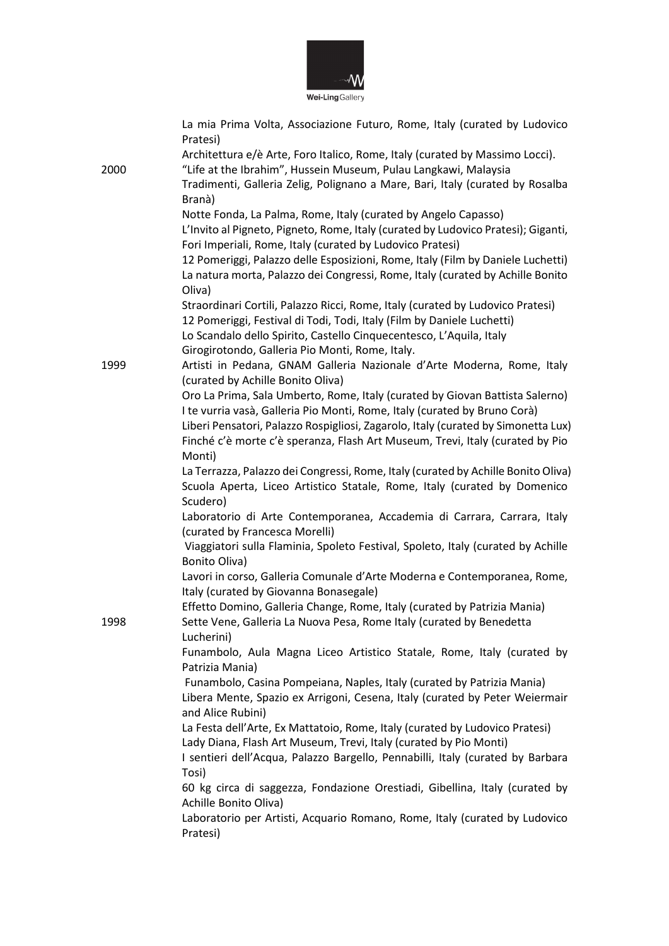

|      | La mia Prima Volta, Associazione Futuro, Rome, Italy (curated by Ludovico<br>Pratesi)                                                            |
|------|--------------------------------------------------------------------------------------------------------------------------------------------------|
|      | Architettura e/è Arte, Foro Italico, Rome, Italy (curated by Massimo Locci).                                                                     |
| 2000 | "Life at the Ibrahim", Hussein Museum, Pulau Langkawi, Malaysia                                                                                  |
|      | Tradimenti, Galleria Zelig, Polignano a Mare, Bari, Italy (curated by Rosalba<br>Branà)                                                          |
|      | Notte Fonda, La Palma, Rome, Italy (curated by Angelo Capasso)                                                                                   |
|      | L'Invito al Pigneto, Pigneto, Rome, Italy (curated by Ludovico Pratesi); Giganti,                                                                |
|      | Fori Imperiali, Rome, Italy (curated by Ludovico Pratesi)                                                                                        |
|      | 12 Pomeriggi, Palazzo delle Esposizioni, Rome, Italy (Film by Daniele Luchetti)                                                                  |
|      | La natura morta, Palazzo dei Congressi, Rome, Italy (curated by Achille Bonito<br>Oliva)                                                         |
|      | Straordinari Cortili, Palazzo Ricci, Rome, Italy (curated by Ludovico Pratesi)                                                                   |
|      | 12 Pomeriggi, Festival di Todi, Todi, Italy (Film by Daniele Luchetti)<br>Lo Scandalo dello Spirito, Castello Cinquecentesco, L'Aquila, Italy    |
|      | Girogirotondo, Galleria Pio Monti, Rome, Italy.                                                                                                  |
| 1999 | Artisti in Pedana, GNAM Galleria Nazionale d'Arte Moderna, Rome, Italy                                                                           |
|      | (curated by Achille Bonito Oliva)                                                                                                                |
|      | Oro La Prima, Sala Umberto, Rome, Italy (curated by Giovan Battista Salerno)                                                                     |
|      | I te vurria vasà, Galleria Pio Monti, Rome, Italy (curated by Bruno Corà)                                                                        |
|      | Liberi Pensatori, Palazzo Rospigliosi, Zagarolo, Italy (curated by Simonetta Lux)                                                                |
|      | Finché c'è morte c'è speranza, Flash Art Museum, Trevi, Italy (curated by Pio                                                                    |
|      | Monti)<br>La Terrazza, Palazzo dei Congressi, Rome, Italy (curated by Achille Bonito Oliva)                                                      |
|      | Scuola Aperta, Liceo Artistico Statale, Rome, Italy (curated by Domenico                                                                         |
|      | Scudero)                                                                                                                                         |
|      | Laboratorio di Arte Contemporanea, Accademia di Carrara, Carrara, Italy                                                                          |
|      | (curated by Francesca Morelli)                                                                                                                   |
|      | Viaggiatori sulla Flaminia, Spoleto Festival, Spoleto, Italy (curated by Achille                                                                 |
|      | Bonito Oliva)                                                                                                                                    |
|      | Lavori in corso, Galleria Comunale d'Arte Moderna e Contemporanea, Rome,<br>Italy (curated by Giovanna Bonasegale)                               |
|      | Effetto Domino, Galleria Change, Rome, Italy (curated by Patrizia Mania)                                                                         |
| 1998 | Sette Vene, Galleria La Nuova Pesa, Rome Italy (curated by Benedetta<br>Lucherini)                                                               |
|      | Funambolo, Aula Magna Liceo Artistico Statale, Rome, Italy (curated by<br>Patrizia Mania)                                                        |
|      | Funambolo, Casina Pompeiana, Naples, Italy (curated by Patrizia Mania)                                                                           |
|      | Libera Mente, Spazio ex Arrigoni, Cesena, Italy (curated by Peter Weiermair                                                                      |
|      | and Alice Rubini)                                                                                                                                |
|      | La Festa dell'Arte, Ex Mattatoio, Rome, Italy (curated by Ludovico Pratesi)<br>Lady Diana, Flash Art Museum, Trevi, Italy (curated by Pio Monti) |
|      | I sentieri dell'Acqua, Palazzo Bargello, Pennabilli, Italy (curated by Barbara                                                                   |
|      | Tosi)                                                                                                                                            |
|      | 60 kg circa di saggezza, Fondazione Orestiadi, Gibellina, Italy (curated by                                                                      |
|      | Achille Bonito Oliva)                                                                                                                            |
|      | Laboratorio per Artisti, Acquario Romano, Rome, Italy (curated by Ludovico<br>Pratesi)                                                           |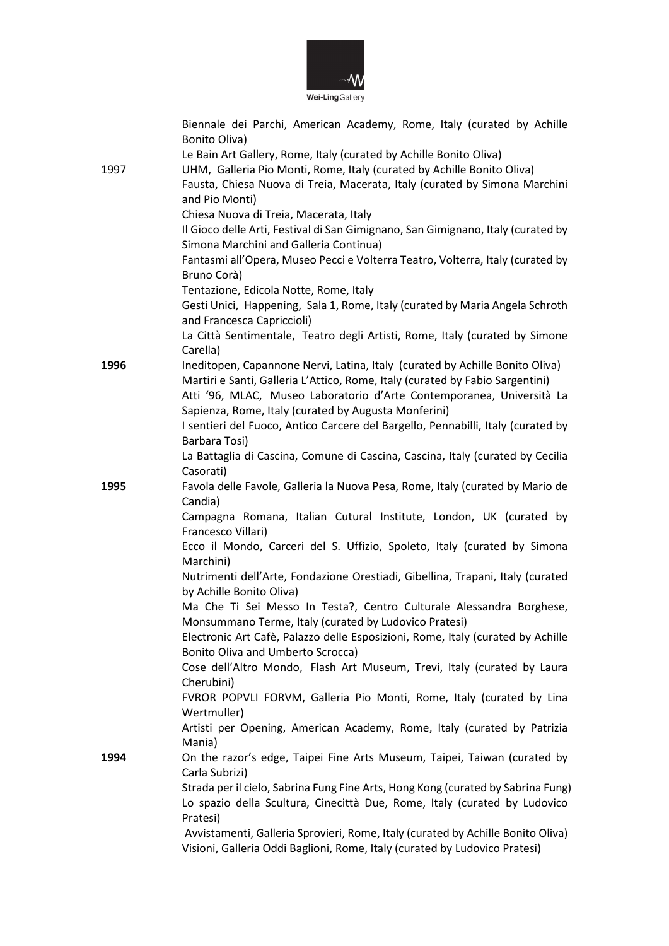

|      | Biennale dei Parchi, American Academy, Rome, Italy (curated by Achille                                                        |
|------|-------------------------------------------------------------------------------------------------------------------------------|
|      | Bonito Oliva)<br>Le Bain Art Gallery, Rome, Italy (curated by Achille Bonito Oliva)                                           |
| 1997 | UHM, Galleria Pio Monti, Rome, Italy (curated by Achille Bonito Oliva)                                                        |
|      | Fausta, Chiesa Nuova di Treia, Macerata, Italy (curated by Simona Marchini                                                    |
|      | and Pio Monti)                                                                                                                |
|      | Chiesa Nuova di Treia, Macerata, Italy                                                                                        |
|      | Il Gioco delle Arti, Festival di San Gimignano, San Gimignano, Italy (curated by                                              |
|      | Simona Marchini and Galleria Continua)                                                                                        |
|      | Fantasmi all'Opera, Museo Pecci e Volterra Teatro, Volterra, Italy (curated by                                                |
|      | Bruno Corà)                                                                                                                   |
|      | Tentazione, Edicola Notte, Rome, Italy                                                                                        |
|      | Gesti Unici, Happening, Sala 1, Rome, Italy (curated by Maria Angela Schroth<br>and Francesca Capriccioli)                    |
|      | La Città Sentimentale, Teatro degli Artisti, Rome, Italy (curated by Simone                                                   |
|      | Carella)                                                                                                                      |
| 1996 | Ineditopen, Capannone Nervi, Latina, Italy (curated by Achille Bonito Oliva)                                                  |
|      | Martiri e Santi, Galleria L'Attico, Rome, Italy (curated by Fabio Sargentini)                                                 |
|      | Atti '96, MLAC, Museo Laboratorio d'Arte Contemporanea, Università La                                                         |
|      | Sapienza, Rome, Italy (curated by Augusta Monferini)                                                                          |
|      | I sentieri del Fuoco, Antico Carcere del Bargello, Pennabilli, Italy (curated by                                              |
|      | Barbara Tosi)                                                                                                                 |
|      | La Battaglia di Cascina, Comune di Cascina, Cascina, Italy (curated by Cecilia<br>Casorati)                                   |
| 1995 | Favola delle Favole, Galleria la Nuova Pesa, Rome, Italy (curated by Mario de                                                 |
|      | Candia)                                                                                                                       |
|      | Campagna Romana, Italian Cutural Institute, London, UK (curated by<br>Francesco Villari)                                      |
|      | Ecco il Mondo, Carceri del S. Uffizio, Spoleto, Italy (curated by Simona                                                      |
|      | Marchini)                                                                                                                     |
|      | Nutrimenti dell'Arte, Fondazione Orestiadi, Gibellina, Trapani, Italy (curated                                                |
|      | by Achille Bonito Oliva)                                                                                                      |
|      | Ma Che Ti Sei Messo In Testa?, Centro Culturale Alessandra Borghese,<br>Monsummano Terme, Italy (curated by Ludovico Pratesi) |
|      | Electronic Art Cafè, Palazzo delle Esposizioni, Rome, Italy (curated by Achille                                               |
|      | <b>Bonito Oliva and Umberto Scrocca)</b>                                                                                      |
|      | Cose dell'Altro Mondo, Flash Art Museum, Trevi, Italy (curated by Laura<br>Cherubini)                                         |
|      | FVROR POPVLI FORVM, Galleria Pio Monti, Rome, Italy (curated by Lina                                                          |
|      | Wertmuller)                                                                                                                   |
|      | Artisti per Opening, American Academy, Rome, Italy (curated by Patrizia<br>Mania)                                             |
| 1994 | On the razor's edge, Taipei Fine Arts Museum, Taipei, Taiwan (curated by                                                      |
|      | Carla Subrizi)                                                                                                                |
|      | Strada per il cielo, Sabrina Fung Fine Arts, Hong Kong (curated by Sabrina Fung)                                              |
|      | Lo spazio della Scultura, Cinecittà Due, Rome, Italy (curated by Ludovico                                                     |
|      | Pratesi)                                                                                                                      |
|      | Avvistamenti, Galleria Sprovieri, Rome, Italy (curated by Achille Bonito Oliva)                                               |
|      | Visioni, Galleria Oddi Baglioni, Rome, Italy (curated by Ludovico Pratesi)                                                    |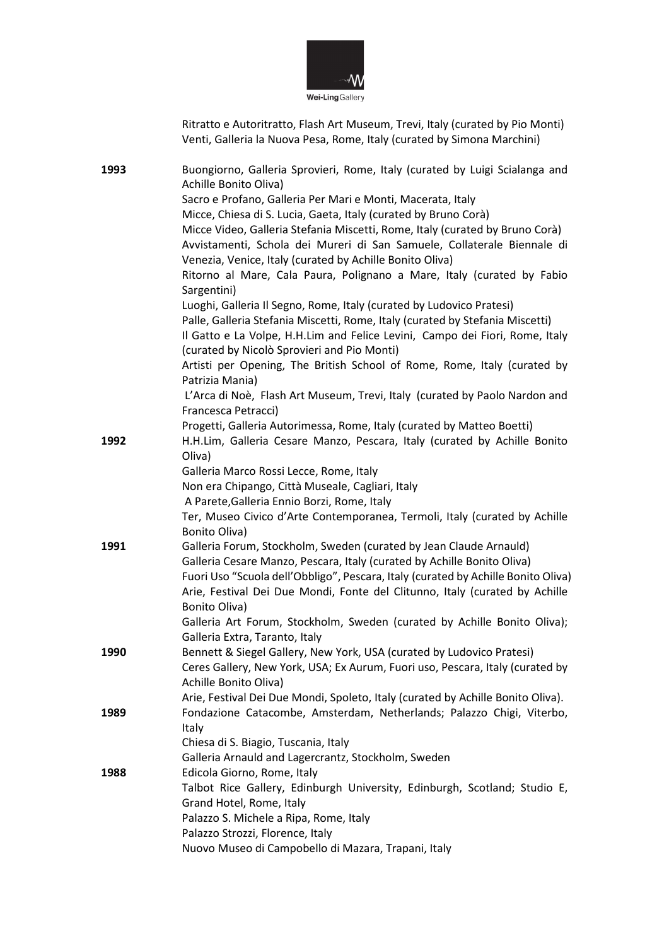

Ritratto e Autoritratto, Flash Art Museum, Trevi, Italy (curated by Pio Monti) Venti, Galleria la Nuova Pesa, Rome, Italy (curated by Simona Marchini)

| 1993 | Buongiorno, Galleria Sprovieri, Rome, Italy (curated by Luigi Scialanga and                       |
|------|---------------------------------------------------------------------------------------------------|
|      | Achille Bonito Oliva)                                                                             |
|      | Sacro e Profano, Galleria Per Mari e Monti, Macerata, Italy                                       |
|      | Micce, Chiesa di S. Lucia, Gaeta, Italy (curated by Bruno Corà)                                   |
|      | Micce Video, Galleria Stefania Miscetti, Rome, Italy (curated by Bruno Corà)                      |
|      | Avvistamenti, Schola dei Mureri di San Samuele, Collaterale Biennale di                           |
|      | Venezia, Venice, Italy (curated by Achille Bonito Oliva)                                          |
|      | Ritorno al Mare, Cala Paura, Polignano a Mare, Italy (curated by Fabio<br>Sargentini)             |
|      | Luoghi, Galleria Il Segno, Rome, Italy (curated by Ludovico Pratesi)                              |
|      | Palle, Galleria Stefania Miscetti, Rome, Italy (curated by Stefania Miscetti)                     |
|      | Il Gatto e La Volpe, H.H.Lim and Felice Levini, Campo dei Fiori, Rome, Italy                      |
|      | (curated by Nicolò Sprovieri and Pio Monti)                                                       |
|      | Artisti per Opening, The British School of Rome, Rome, Italy (curated by                          |
|      | Patrizia Mania)                                                                                   |
|      | L'Arca di Noè, Flash Art Museum, Trevi, Italy (curated by Paolo Nardon and<br>Francesca Petracci) |
|      | Progetti, Galleria Autorimessa, Rome, Italy (curated by Matteo Boetti)                            |
| 1992 | H.H.Lim, Galleria Cesare Manzo, Pescara, Italy (curated by Achille Bonito                         |
|      | Oliva)                                                                                            |
|      | Galleria Marco Rossi Lecce, Rome, Italy                                                           |
|      | Non era Chipango, Città Museale, Cagliari, Italy                                                  |
|      | A Parete, Galleria Ennio Borzi, Rome, Italy                                                       |
|      | Ter, Museo Civico d'Arte Contemporanea, Termoli, Italy (curated by Achille                        |
|      | Bonito Oliva)                                                                                     |
| 1991 | Galleria Forum, Stockholm, Sweden (curated by Jean Claude Arnauld)                                |
|      | Galleria Cesare Manzo, Pescara, Italy (curated by Achille Bonito Oliva)                           |
|      | Fuori Uso "Scuola dell'Obbligo", Pescara, Italy (curated by Achille Bonito Oliva)                 |
|      | Arie, Festival Dei Due Mondi, Fonte del Clitunno, Italy (curated by Achille                       |
|      | Bonito Oliva)                                                                                     |
|      | Galleria Art Forum, Stockholm, Sweden (curated by Achille Bonito Oliva);                          |
|      | Galleria Extra, Taranto, Italy                                                                    |
| 1990 | Bennett & Siegel Gallery, New York, USA (curated by Ludovico Pratesi)                             |
|      | Ceres Gallery, New York, USA; Ex Aurum, Fuori uso, Pescara, Italy (curated by                     |
|      | Achille Bonito Oliva)                                                                             |
|      | Arie, Festival Dei Due Mondi, Spoleto, Italy (curated by Achille Bonito Oliva).                   |
| 1989 | Fondazione Catacombe, Amsterdam, Netherlands; Palazzo Chigi, Viterbo,                             |
|      | <b>Italy</b>                                                                                      |
|      | Chiesa di S. Biagio, Tuscania, Italy                                                              |
|      | Galleria Arnauld and Lagercrantz, Stockholm, Sweden                                               |
| 1988 | Edicola Giorno, Rome, Italy                                                                       |
|      | Talbot Rice Gallery, Edinburgh University, Edinburgh, Scotland; Studio E,                         |
|      | Grand Hotel, Rome, Italy                                                                          |
|      | Palazzo S. Michele a Ripa, Rome, Italy                                                            |
|      | Palazzo Strozzi, Florence, Italy                                                                  |
|      | Nuovo Museo di Campobello di Mazara, Trapani, Italy                                               |